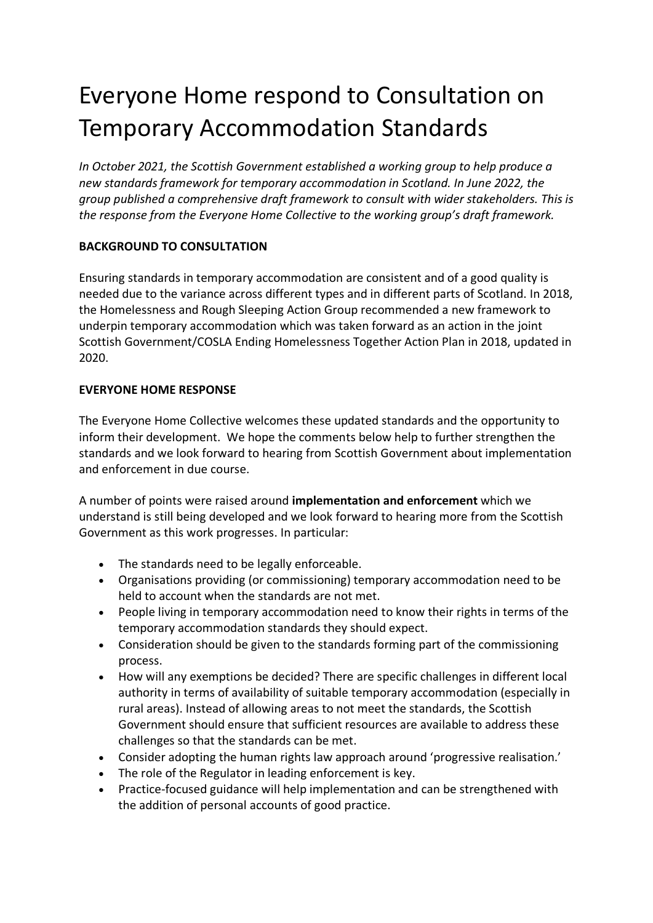## Everyone Home respond to Consultation on Temporary Accommodation Standards

*In October 2021, the Scottish Government established a working group to help produce a new standards framework for temporary accommodation in Scotland. In June 2022, the group published a comprehensive [draft framework](https://homelessnetwork.scot/wp-content/uploads/2022/06/Temporary-Accommodation-Standards-Framework-DRAFT-standards-Wider-stakeholders.docx) to consult with wider stakeholders. This is the response from the Everyone Home Collective to the working group's draft framework.*

## **BACKGROUND TO CONSULTATION**

Ensuring standards in temporary accommodation are consistent and of a good quality is needed due to the variance across different types and in different parts of Scotland. In 2018, the Homelessness and Rough Sleeping Action Group recommended a new framework to underpin temporary accommodation which was taken forward as an action in the joint Scottish Government/COSLA Ending Homelessness Together Action Plan in 2018, updated in 2020.

## **EVERYONE HOME RESPONSE**

The Everyone Home Collective welcomes these updated standards and the opportunity to inform their development. We hope the comments below help to further strengthen the standards and we look forward to hearing from Scottish Government about implementation and enforcement in due course.

A number of points were raised around **implementation and enforcement** which we understand is still being developed and we look forward to hearing more from the Scottish Government as this work progresses. In particular:

- The standards need to be legally enforceable.
- Organisations providing (or commissioning) temporary accommodation need to be held to account when the standards are not met.
- People living in temporary accommodation need to know their rights in terms of the temporary accommodation standards they should expect.
- Consideration should be given to the standards forming part of the commissioning process.
- How will any exemptions be decided? There are specific challenges in different local authority in terms of availability of suitable temporary accommodation (especially in rural areas). Instead of allowing areas to not meet the standards, the Scottish Government should ensure that sufficient resources are available to address these challenges so that the standards can be met.
- Consider adopting the human rights law approach around 'progressive realisation.'
- The role of the Regulator in leading enforcement is key.
- Practice-focused guidance will help implementation and can be strengthened with the addition of personal accounts of good practice.